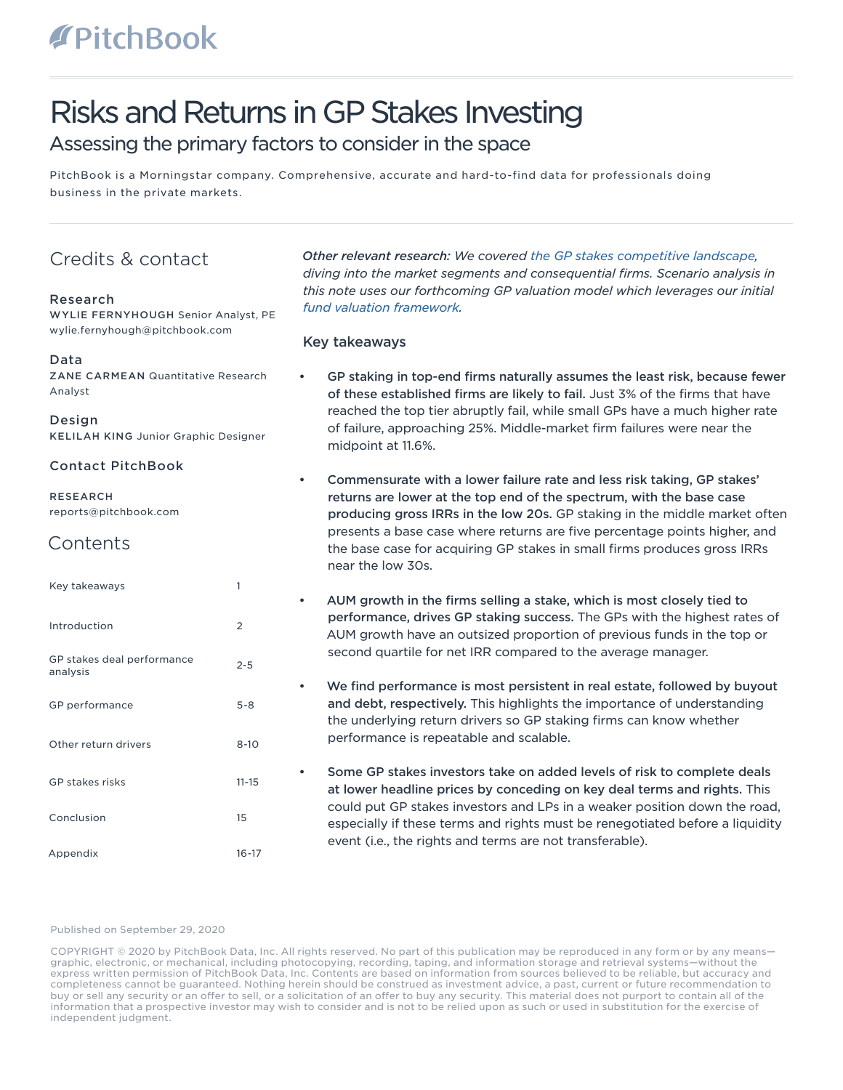# Risks and Returns in GP Stakes Investing

# Assessing the primary factors to consider in the space

PitchBook is a Morningstar company. Comprehensive, accurate and hard-to-find data for professionals doing business in the private markets.

# Credits & contact

# Research

WYLIE FERNYHOUGH Senior Analyst, PE wylie.fernyhough@pitchbook.com

# Data

ZANE CARMEAN Quantitative Research Analyst

### Design

KELILAH KING Junior Graphic Designer

# Contact PitchBook

RESEARCH reports@pitchbook.com

# **Contents**

| Key takeaways                          | 1              |
|----------------------------------------|----------------|
| Introduction                           | $\overline{2}$ |
| GP stakes deal performance<br>analysis | $2 - 5$        |
| GP performance                         | $5 - 8$        |
| Other return drivers                   | $8 - 10$       |
| GP stakes risks                        | $11 - 15$      |
| Conclusion                             | 15             |
| Appendix                               | $16 - 17$      |

*Other relevant research: We covered [the GP stakes competitive landscape](https://files.pitchbook.com/website/files/pdf/PitchBook_Q3_2020_Analyst_Note_The_GP_Staking_Competitive_Environment.pdf), diving into the market segments and consequential firms. Scenario analysis in this note uses our forthcoming GP valuation model which leverages our initial [fund valuation framework.](https://files.pitchbook.com/website/files/pdf/PitchBook_Q1_2020_Analyst_Note_What_Is_a_Private_Capital_Fund_Worth.pdf)*

# Key takeaways

- GP staking in top-end firms naturally assumes the least risk, because fewer of these established firms are likely to fail. Just 3% of the firms that have reached the top tier abruptly fail, while small GPs have a much higher rate of failure, approaching 25%. Middle-market firm failures were near the midpoint at 11.6%.
- Commensurate with a lower failure rate and less risk taking, GP stakes' returns are lower at the top end of the spectrum, with the base case producing gross IRRs in the low 20s. GP staking in the middle market often presents a base case where returns are five percentage points higher, and the base case for acquiring GP stakes in small firms produces gross IRRs near the low 30s.
- AUM growth in the firms selling a stake, which is most closely tied to performance, drives GP staking success. The GPs with the highest rates of AUM growth have an outsized proportion of previous funds in the top or second quartile for net IRR compared to the average manager.
- We find performance is most persistent in real estate, followed by buyout and debt, respectively. This highlights the importance of understanding the underlying return drivers so GP staking firms can know whether performance is repeatable and scalable.
- Some GP stakes investors take on added levels of risk to complete deals at lower headline prices by conceding on key deal terms and rights. This could put GP stakes investors and LPs in a weaker position down the road, especially if these terms and rights must be renegotiated before a liquidity event (i.e., the rights and terms are not transferable).

### Published on September 29, 2020

COPYRIGHT © 2020 by PitchBook Data, Inc. All rights reserved. No part of this publication may be reproduced in any form or by any means graphic, electronic, or mechanical, including photocopying, recording, taping, and information storage and retrieval systems—without the express written permission of PitchBook Data, Inc. Contents are based on information from sources believed to be reliable, but accuracy and completeness cannot be guaranteed. Nothing herein should be construed as investment advice, a past, current or future recommendation to buy or sell any security or an offer to sell, or a solicitation of an offer to buy any security. This material does not purport to contain all of the information that a prospective investor may wish to consider and is not to be relied upon as such or used in substitution for the exercise of independent judgment.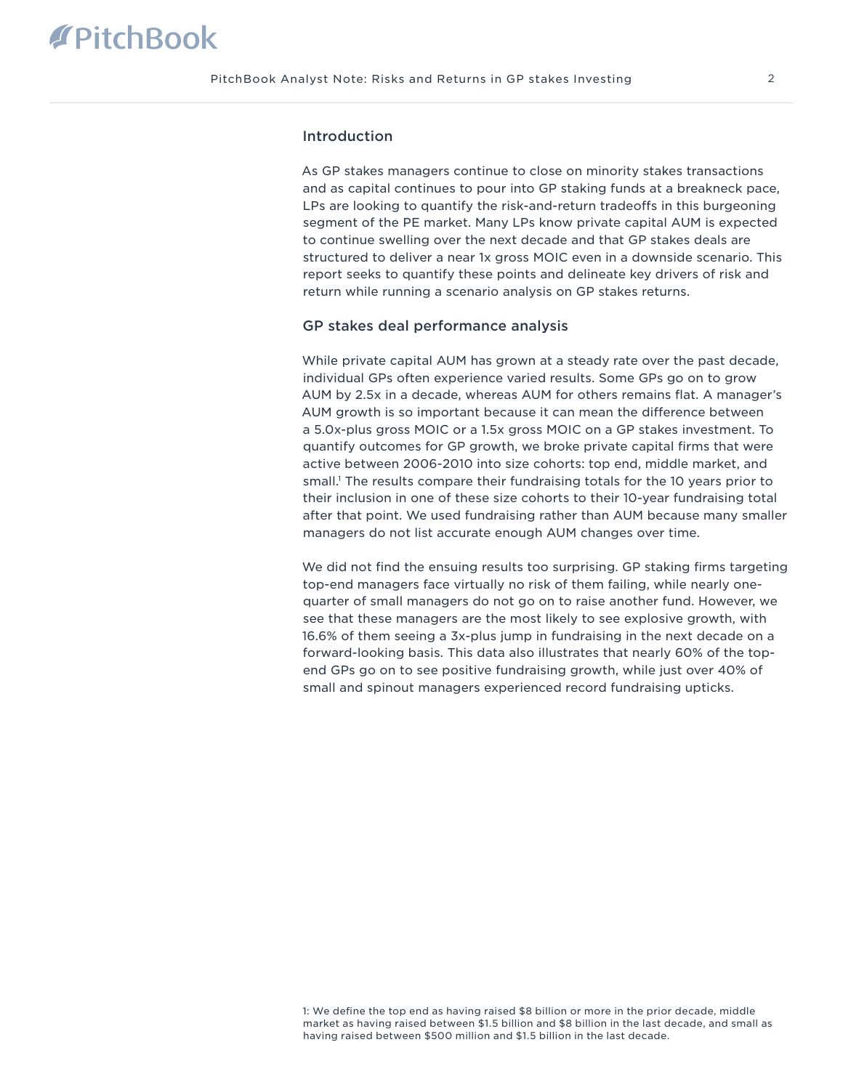# Introduction

As GP stakes managers continue to close on minority stakes transactions and as capital continues to pour into GP staking funds at a breakneck pace, LPs are looking to quantify the risk-and-return tradeoffs in this burgeoning segment of the PE market. Many LPs know private capital AUM is expected to continue swelling over the next decade and that GP stakes deals are structured to deliver a near 1x gross MOIC even in a downside scenario. This report seeks to quantify these points and delineate key drivers of risk and return while running a scenario analysis on GP stakes returns.

### GP stakes deal performance analysis

While private capital AUM has grown at a steady rate over the past decade, individual GPs often experience varied results. Some GPs go on to grow AUM by 2.5x in a decade, whereas AUM for others remains flat. A manager's AUM growth is so important because it can mean the difference between a 5.0x-plus gross MOIC or a 1.5x gross MOIC on a GP stakes investment. To quantify outcomes for GP growth, we broke private capital firms that were active between 2006-2010 into size cohorts: top end, middle market, and small.1 The results compare their fundraising totals for the 10 years prior to their inclusion in one of these size cohorts to their 10-year fundraising total after that point. We used fundraising rather than AUM because many smaller managers do not list accurate enough AUM changes over time.

We did not find the ensuing results too surprising. GP staking firms targeting top-end managers face virtually no risk of them failing, while nearly onequarter of small managers do not go on to raise another fund. However, we see that these managers are the most likely to see explosive growth, with 16.6% of them seeing a 3x-plus jump in fundraising in the next decade on a forward-looking basis. This data also illustrates that nearly 60% of the topend GPs go on to see positive fundraising growth, while just over 40% of small and spinout managers experienced record fundraising upticks.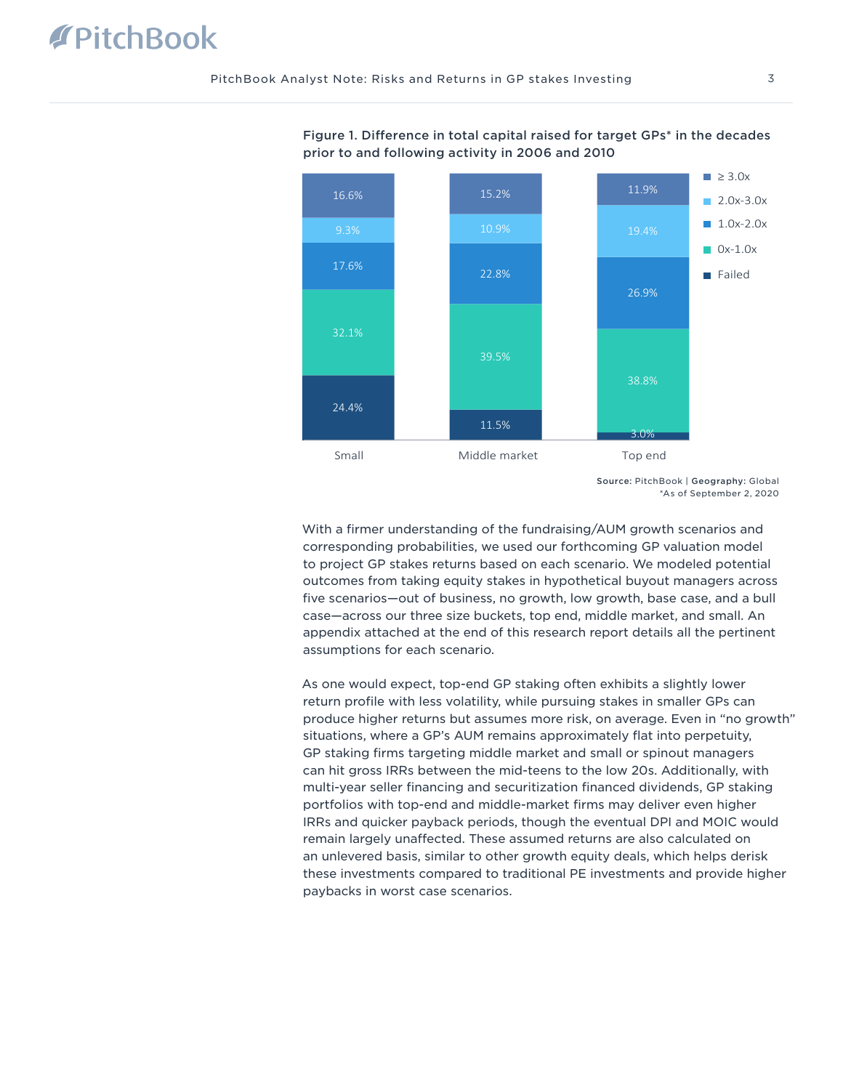

Figure 1. Difference in total capital raised for target GPs\* in the decades prior to and following activity in 2006 and 2010

Source: PitchBook | Geography: Global \*As of September 2, 2020

With a firmer understanding of the fundraising/AUM growth scenarios and corresponding probabilities, we used our forthcoming GP valuation model to project GP stakes returns based on each scenario. We modeled potential outcomes from taking equity stakes in hypothetical buyout managers across five scenarios—out of business, no growth, low growth, base case, and a bull case—across our three size buckets, top end, middle market, and small. An appendix attached at the end of this research report details all the pertinent assumptions for each scenario.

As one would expect, top-end GP staking often exhibits a slightly lower return profile with less volatility, while pursuing stakes in smaller GPs can produce higher returns but assumes more risk, on average. Even in "no growth" situations, where a GP's AUM remains approximately flat into perpetuity, GP staking firms targeting middle market and small or spinout managers can hit gross IRRs between the mid-teens to the low 20s. Additionally, with multi-year seller financing and securitization financed dividends, GP staking portfolios with top-end and middle-market firms may deliver even higher IRRs and quicker payback periods, though the eventual DPI and MOIC would remain largely unaffected. These assumed returns are also calculated on an unlevered basis, similar to other growth equity deals, which helps derisk these investments compared to traditional PE investments and provide higher paybacks in worst case scenarios.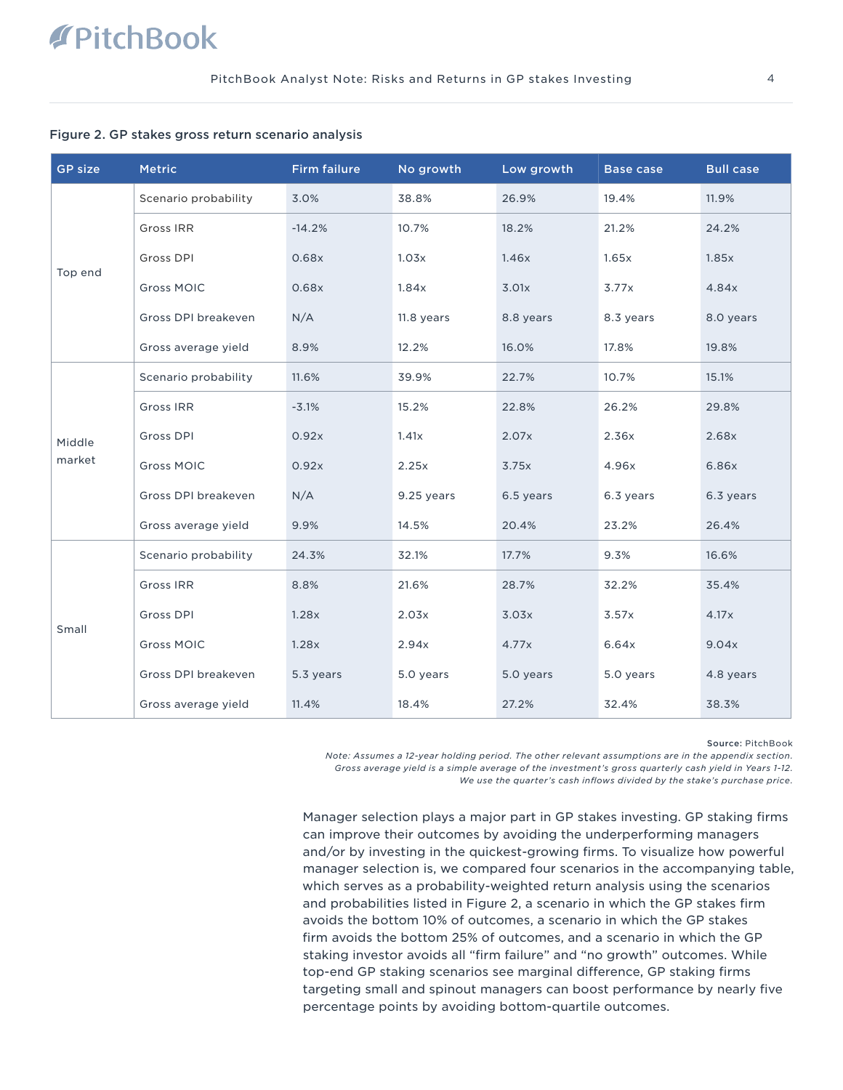### Figure 2. GP stakes gross return scenario analysis

| <b>GP size</b>   | <b>Metric</b>        | <b>Firm failure</b> | No growth  | Low growth | <b>Base case</b> | <b>Bull case</b> |
|------------------|----------------------|---------------------|------------|------------|------------------|------------------|
| Top end          | Scenario probability | 3.0%                | 38.8%      | 26.9%      | 19.4%            | 11.9%            |
|                  | <b>Gross IRR</b>     | $-14.2%$            | 10.7%      | 18.2%      | 21.2%            | 24.2%            |
|                  | Gross DPI            | 0.68x               | 1.03x      | 1.46x      | 1.65x            | 1.85x            |
|                  | <b>Gross MOIC</b>    | 0.68x               | 1.84x      | 3.01x      | 3.77x            | 4.84x            |
|                  | Gross DPI breakeven  | N/A                 | 11.8 years | 8.8 years  | 8.3 years        | 8.0 years        |
|                  | Gross average yield  | 8.9%                | 12.2%      | 16.0%      | 17.8%            | 19.8%            |
|                  | Scenario probability | 11.6%               | 39.9%      | 22.7%      | 10.7%            | 15.1%            |
|                  | <b>Gross IRR</b>     | $-3.1%$             | 15.2%      | 22.8%      | 26.2%            | 29.8%            |
| Middle<br>market | Gross DPI            | 0.92x               | 1.41x      | 2.07x      | 2.36x            | 2.68x            |
|                  | <b>Gross MOIC</b>    | 0.92x               | 2.25x      | 3.75x      | 4.96x            | 6.86x            |
|                  | Gross DPI breakeven  | N/A                 | 9.25 years | 6.5 years  | 6.3 years        | 6.3 years        |
|                  | Gross average yield  | 9.9%                | 14.5%      | 20.4%      | 23.2%            | 26.4%            |
| Small            | Scenario probability | 24.3%               | 32.1%      | 17.7%      | 9.3%             | 16.6%            |
|                  | <b>Gross IRR</b>     | 8.8%                | 21.6%      | 28.7%      | 32.2%            | 35.4%            |
|                  | Gross DPI            | 1.28x               | 2.03x      | 3.03x      | 3.57x            | 4.17x            |
|                  | <b>Gross MOIC</b>    | 1.28x               | 2.94x      | 4.77x      | 6.64x            | 9.04x            |
|                  | Gross DPI breakeven  | 5.3 years           | 5.0 years  | 5.0 years  | 5.0 years        | 4.8 years        |
|                  | Gross average yield  | 11.4%               | 18.4%      | 27.2%      | 32.4%            | 38.3%            |

Source: PitchBook

*Note: Assumes a 12-year holding period. The other relevant assumptions are in the appendix section. Gross average yield is a simple average of the investment's gross quarterly cash yield in Years 1-12. We use the quarter's cash inflows divided by the stake's purchase price.*

Manager selection plays a major part in GP stakes investing. GP staking firms can improve their outcomes by avoiding the underperforming managers and/or by investing in the quickest-growing firms. To visualize how powerful manager selection is, we compared four scenarios in the accompanying table, which serves as a probability-weighted return analysis using the scenarios and probabilities listed in Figure 2, a scenario in which the GP stakes firm avoids the bottom 10% of outcomes, a scenario in which the GP stakes firm avoids the bottom 25% of outcomes, and a scenario in which the GP staking investor avoids all "firm failure" and "no growth" outcomes. While top-end GP staking scenarios see marginal difference, GP staking firms targeting small and spinout managers can boost performance by nearly five percentage points by avoiding bottom-quartile outcomes.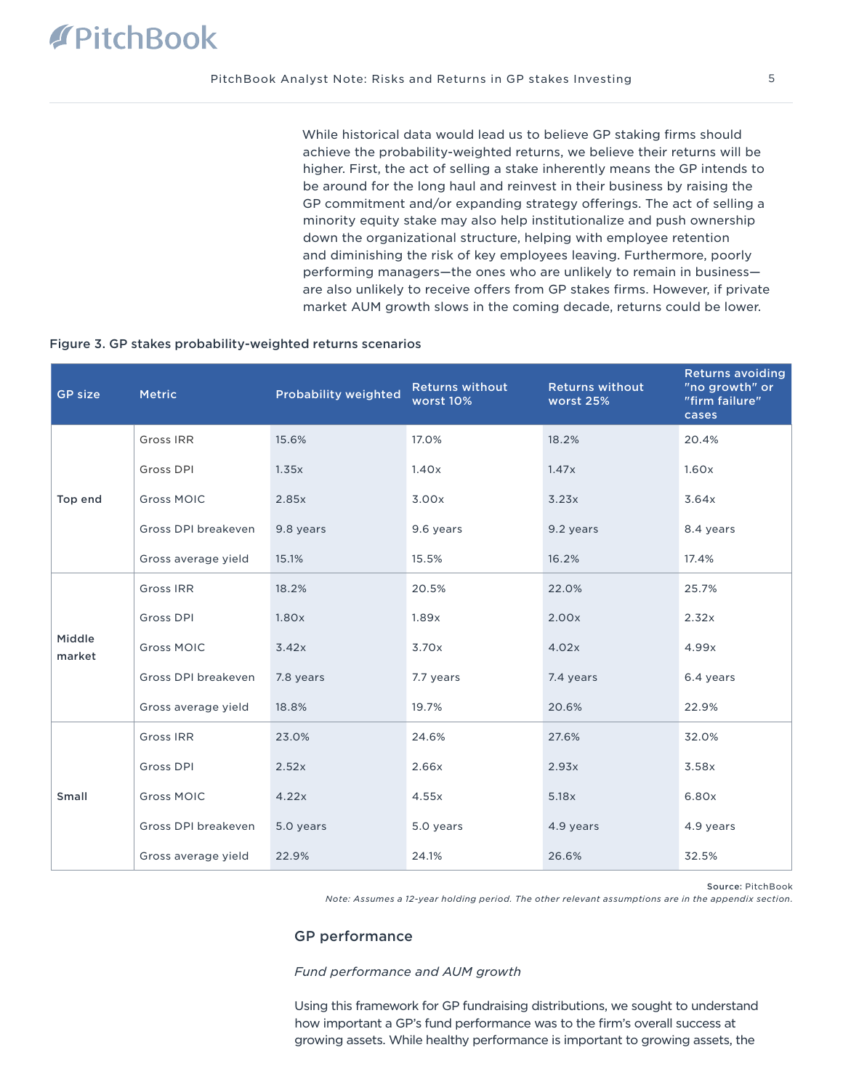While historical data would lead us to believe GP staking firms should achieve the probability-weighted returns, we believe their returns will be higher. First, the act of selling a stake inherently means the GP intends to be around for the long haul and reinvest in their business by raising the GP commitment and/or expanding strategy offerings. The act of selling a minority equity stake may also help institutionalize and push ownership down the organizational structure, helping with employee retention and diminishing the risk of key employees leaving. Furthermore, poorly performing managers—the ones who are unlikely to remain in business are also unlikely to receive offers from GP stakes firms. However, if private market AUM growth slows in the coming decade, returns could be lower.

### Figure 3. GP stakes probability-weighted returns scenarios

| <b>GP size</b>   | <b>Metric</b>       | Probability weighted | <b>Returns without</b><br>worst 10% | <b>Returns without</b><br>worst 25% | <b>Returns avoiding</b><br>"no growth" or<br>"firm failure"<br>cases |
|------------------|---------------------|----------------------|-------------------------------------|-------------------------------------|----------------------------------------------------------------------|
| Top end          | <b>Gross IRR</b>    | 15.6%                | 17.0%                               | 18.2%                               | 20.4%                                                                |
|                  | Gross DPI           | 1.35x                | 1.40x                               | 1.47x                               | 1.60x                                                                |
|                  | <b>Gross MOIC</b>   | 2.85x                | 3.00x                               | 3.23x                               | 3.64x                                                                |
|                  | Gross DPI breakeven | 9.8 years            | 9.6 years                           | 9.2 years                           | 8.4 years                                                            |
|                  | Gross average yield | 15.1%                | 15.5%                               | 16.2%                               | 17.4%                                                                |
|                  | Gross IRR           | 18.2%                | 20.5%                               | 22.0%                               | 25.7%                                                                |
|                  | Gross DPI           | 1.80x                | 1.89x                               | 2.00x                               | 2.32x                                                                |
| Middle<br>market | <b>Gross MOIC</b>   | 3.42x                | 3.70x                               | 4.02x                               | 4.99x                                                                |
|                  | Gross DPI breakeven | 7.8 years            | 7.7 years                           | 7.4 years                           | 6.4 years                                                            |
|                  | Gross average yield | 18.8%                | 19.7%                               | 20.6%                               | 22.9%                                                                |
| Small            | Gross IRR           | 23.0%                | 24.6%                               | 27.6%                               | 32.0%                                                                |
|                  | Gross DPI           | 2.52x                | 2.66x                               | 2.93x                               | 3.58x                                                                |
|                  | <b>Gross MOIC</b>   | 4.22x                | 4.55x                               | 5.18x                               | 6.80x                                                                |
|                  | Gross DPI breakeven | 5.0 years            | 5.0 years                           | 4.9 years                           | 4.9 years                                                            |
|                  | Gross average yield | 22.9%                | 24.1%                               | 26.6%                               | 32.5%                                                                |

Source: PitchBook

*Note: Assumes a 12-year holding period. The other relevant assumptions are in the appendix section.*

# GP performance

### *Fund performance and AUM growth*

Using this framework for GP fundraising distributions, we sought to understand how important a GP's fund performance was to the firm's overall success at growing assets. While healthy performance is important to growing assets, the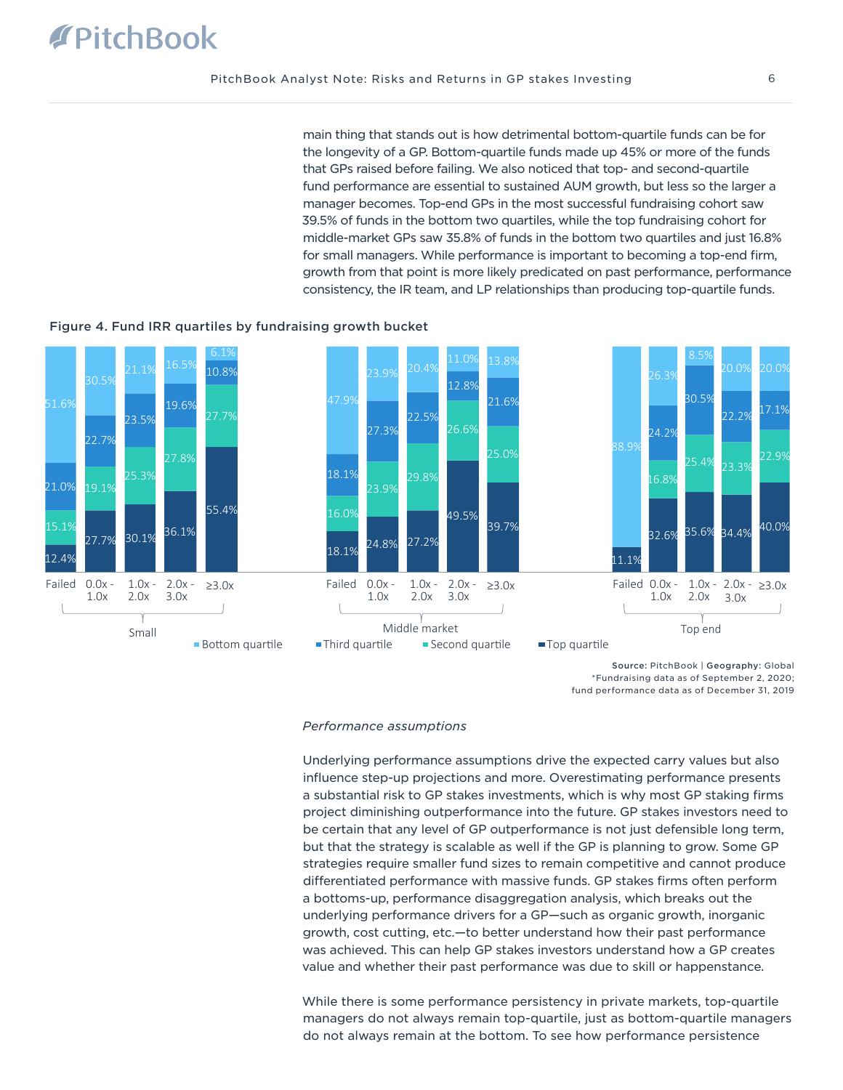main thing that stands out is how detrimental bottom-quartile funds can be for the longevity of a GP. Bottom-quartile funds made up 45% or more of the funds that GPs raised before failing. We also noticed that top- and second-quartile fund performance are essential to sustained AUM growth, but less so the larger a manager becomes. Top-end GPs in the most successful fundraising cohort saw 39.5% of funds in the bottom two quartiles, while the top fundraising cohort for middle-market GPs saw 35.8% of funds in the bottom two quartiles and just 16.8% for small managers. While performance is important to becoming a top-end firm, growth from that point is more likely predicated on past performance, performance consistency, the IR team, and LP relationships than producing top-quartile funds.

# Figure 4. Fund IRR quartiles by fundraising growth bucket



\*Fundraising data as of September 2, 2020; fund performance data as of December 31, 2019

### *Performance assumptions*

Underlying performance assumptions drive the expected carry values but also influence step-up projections and more. Overestimating performance presents a substantial risk to GP stakes investments, which is why most GP staking firms project diminishing outperformance into the future. GP stakes investors need to be certain that any level of GP outperformance is not just defensible long term, but that the strategy is scalable as well if the GP is planning to grow. Some GP strategies require smaller fund sizes to remain competitive and cannot produce differentiated performance with massive funds. GP stakes firms often perform a bottoms-up, performance disaggregation analysis, which breaks out the underlying performance drivers for a GP—such as organic growth, inorganic growth, cost cutting, etc.—to better understand how their past performance was achieved. This can help GP stakes investors understand how a GP creates value and whether their past performance was due to skill or happenstance.

While there is some performance persistency in private markets, top-quartile managers do not always remain top-quartile, just as bottom-quartile managers do not always remain at the bottom. To see how performance persistence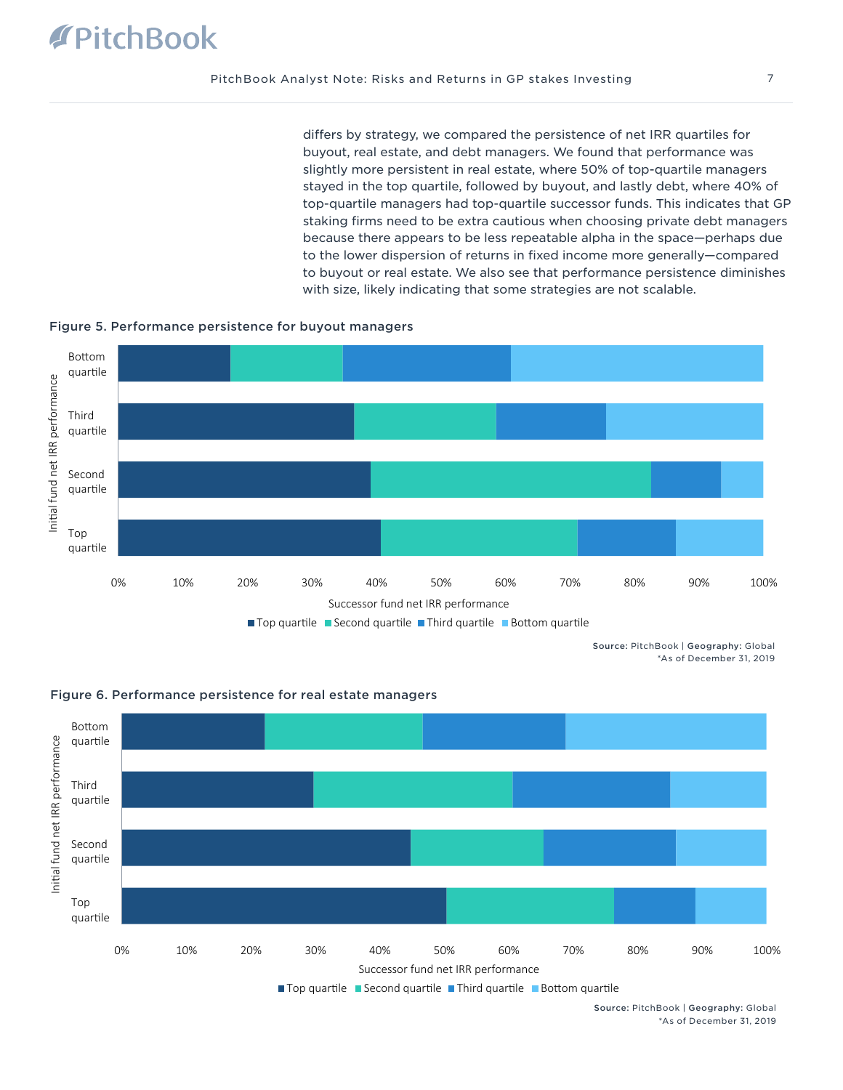differs by strategy, we compared the persistence of net IRR quartiles for buyout, real estate, and debt managers. We found that performance was slightly more persistent in real estate, where 50% of top-quartile managers stayed in the top quartile, followed by buyout, and lastly debt, where 40% of top-quartile managers had top-quartile successor funds. This indicates that GP staking firms need to be extra cautious when choosing private debt managers because there appears to be less repeatable alpha in the space—perhaps due to the lower dispersion of returns in fixed income more generally—compared to buyout or real estate. We also see that performance persistence diminishes with size, likely indicating that some strategies are not scalable.





Source: PitchBook | Geography: Global \*As of December 31, 2019



 $\blacksquare$  Top quartile  $\blacksquare$  Second quartile  $\blacksquare$  Third quartile  $\blacksquare$  Bottom quartile

Source: PitchBook | Geography: Global \*As of December 31, 2019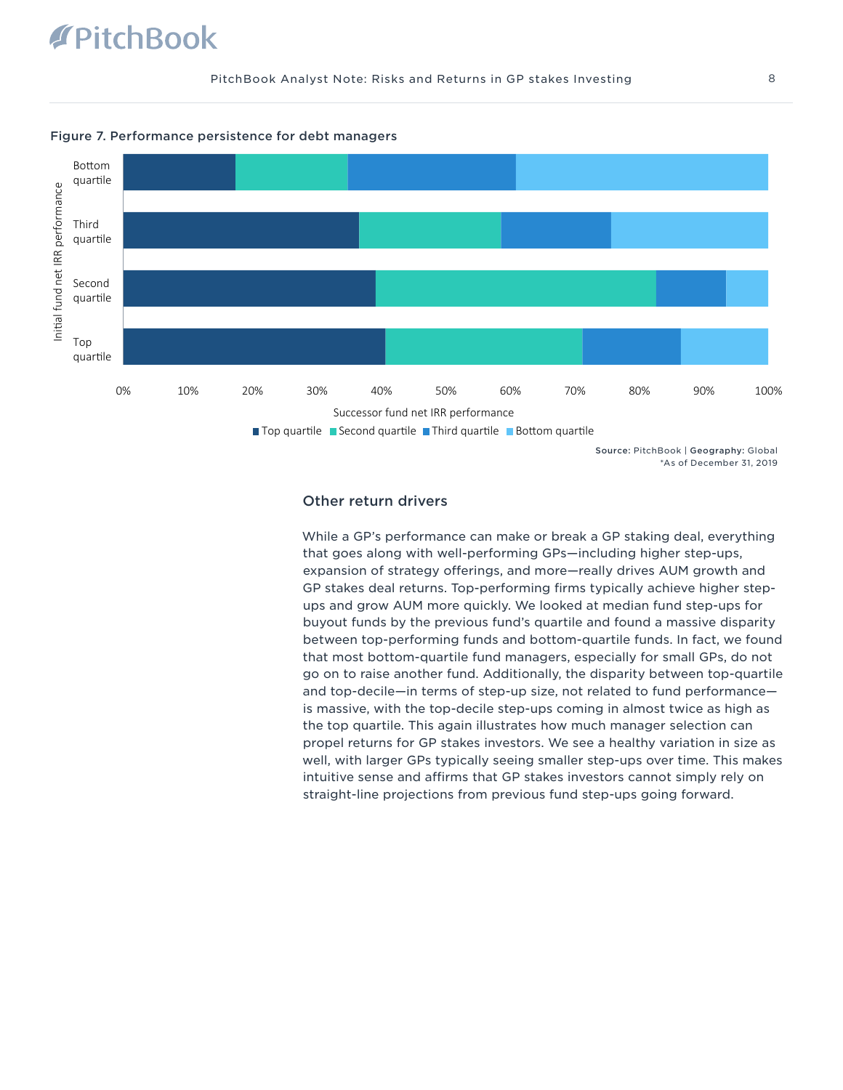# **TPitchBook**





Source: PitchBook | Geography: Global \*As of December 31, 2019

### Other return drivers

While a GP's performance can make or break a GP staking deal, everything that goes along with well-performing GPs—including higher step-ups, expansion of strategy offerings, and more—really drives AUM growth and GP stakes deal returns. Top-performing firms typically achieve higher stepups and grow AUM more quickly. We looked at median fund step-ups for buyout funds by the previous fund's quartile and found a massive disparity between top-performing funds and bottom-quartile funds. In fact, we found that most bottom-quartile fund managers, especially for small GPs, do not go on to raise another fund. Additionally, the disparity between top-quartile and top-decile—in terms of step-up size, not related to fund performance is massive, with the top-decile step-ups coming in almost twice as high as the top quartile. This again illustrates how much manager selection can propel returns for GP stakes investors. We see a healthy variation in size as well, with larger GPs typically seeing smaller step-ups over time. This makes intuitive sense and affirms that GP stakes investors cannot simply rely on straight-line projections from previous fund step-ups going forward.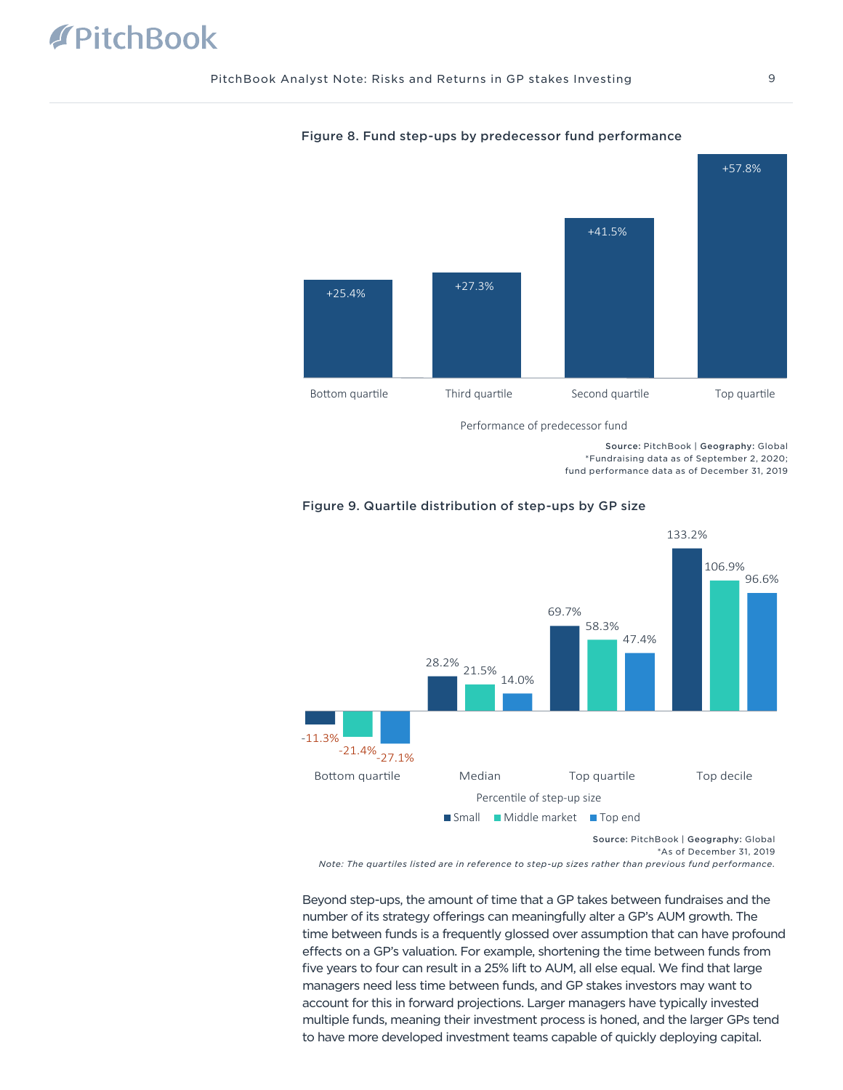

### Figure 8. Fund step-ups by predecessor fund performance

Performance of predecessor fund

Source: PitchBook | Geography: Global \*Fundraising data as of September 2, 2020; fund performance data as of December 31, 2019



# Figure 9. Quartile distribution of step-ups by GP size

*Note: The quartiles listed are in reference to step-up sizes rather than previous fund performance.*

Beyond step-ups, the amount of time that a GP takes between fundraises and the number of its strategy offerings can meaningfully alter a GP's AUM growth. The time between funds is a frequently glossed over assumption that can have profound effects on a GP's valuation. For example, shortening the time between funds from five years to four can result in a 25% lift to AUM, all else equal. We find that large managers need less time between funds, and GP stakes investors may want to account for this in forward projections. Larger managers have typically invested multiple funds, meaning their investment process is honed, and the larger GPs tend to have more developed investment teams capable of quickly deploying capital.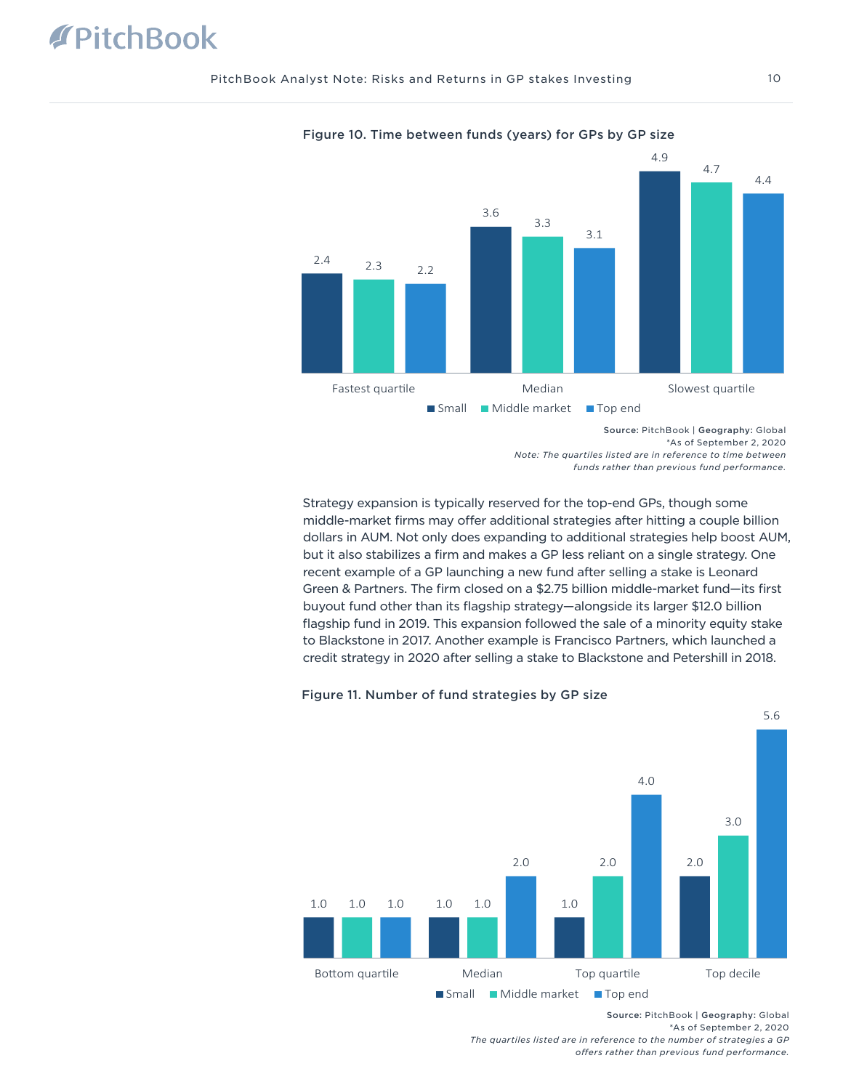

Figure 10. Time between funds (years) for GPs by GP size

Strategy expansion is typically reserved for the top-end GPs, though some middle-market firms may offer additional strategies after hitting a couple billion dollars in AUM. Not only does expanding to additional strategies help boost AUM, but it also stabilizes a firm and makes a GP less reliant on a single strategy. One recent example of a GP launching a new fund after selling a stake is Leonard Green & Partners. The firm closed on a \$2.75 billion middle-market fund—its first buyout fund other than its flagship strategy—alongside its larger \$12.0 billion flagship fund in 2019. This expansion followed the sale of a minority equity stake to Blackstone in 2017. Another example is Francisco Partners, which launched a credit strategy in 2020 after selling a stake to Blackstone and Petershill in 2018.

## Figure 11. Number of fund strategies by GP size



Source: PitchBook | Geography: Global \*As of September 2, 2020

*The quartiles listed are in reference to the number of strategies a GP offers rather than previous fund performance.*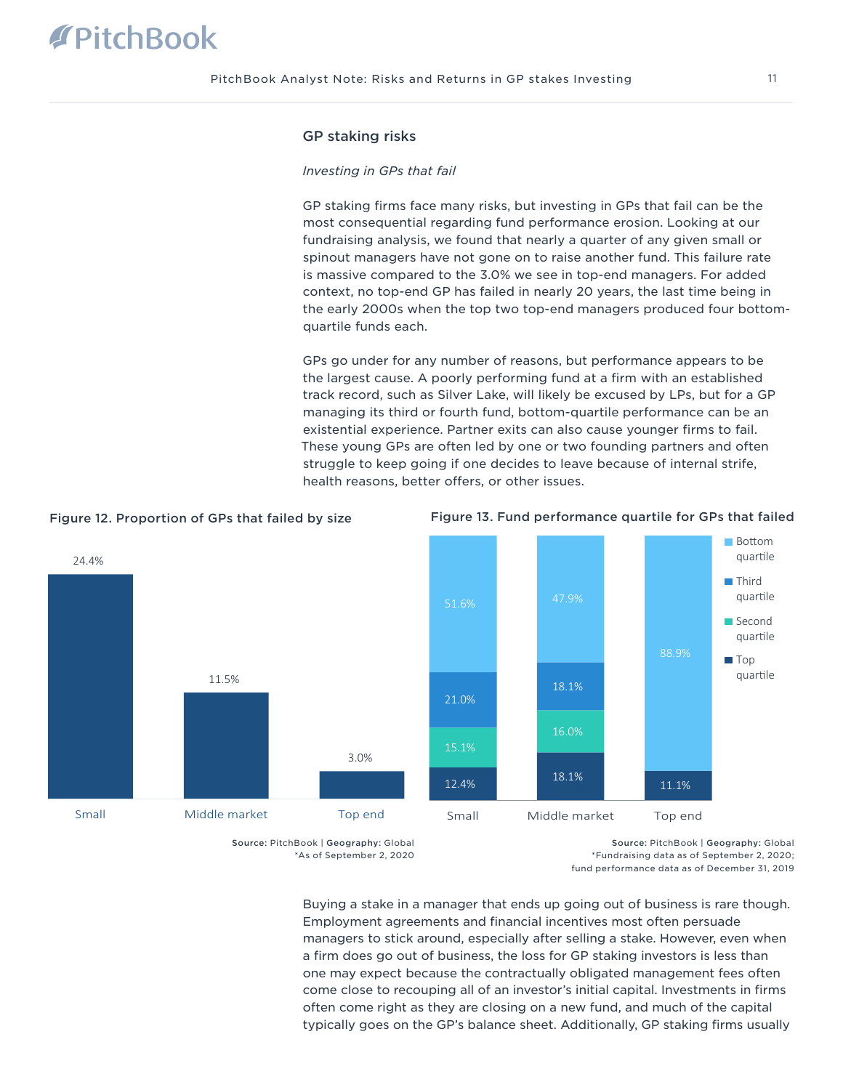# GP staking risks

### *Investing in GPs that fail*

GP staking firms face many risks, but investing in GPs that fail can be the most consequential regarding fund performance erosion. Looking at our fundraising analysis, we found that nearly a quarter of any given small or spinout managers have not gone on to raise another fund. This failure rate is massive compared to the 3.0% we see in top-end managers. For added context, no top-end GP has failed in nearly 20 years, the last time being in the early 2000s when the top two top-end managers produced four bottomquartile funds each.

GPs go under for any number of reasons, but performance appears to be the largest cause. A poorly performing fund at a firm with an established track record, such as Silver Lake, will likely be excused by LPs, but for a GP managing its third or fourth fund, bottom-quartile performance can be an existential experience. Partner exits can also cause younger firms to fail. These young GPs are often led by one or two founding partners and often struggle to keep going if one decides to leave because of internal strife, health reasons, better offers, or other issues.



11.5%

Small Middle market Top end

24.4%





Source: PitchBook | Geography: Global

3.0%

\*As of September 2, 2020

Source: PitchBook | Geography: Global \*Fundraising data as of September 2, 2020; fund performance data as of December 31, 2019

Buying a stake in a manager that ends up going out of business is rare though. Employment agreements and financial incentives most often persuade managers to stick around, especially after selling a stake. However, even when a firm does go out of business, the loss for GP staking investors is less than one may expect because the contractually obligated management fees often come close to recouping all of an investor's initial capital. Investments in firms often come right as they are closing on a new fund, and much of the capital typically goes on the GP's balance sheet. Additionally, GP staking firms usually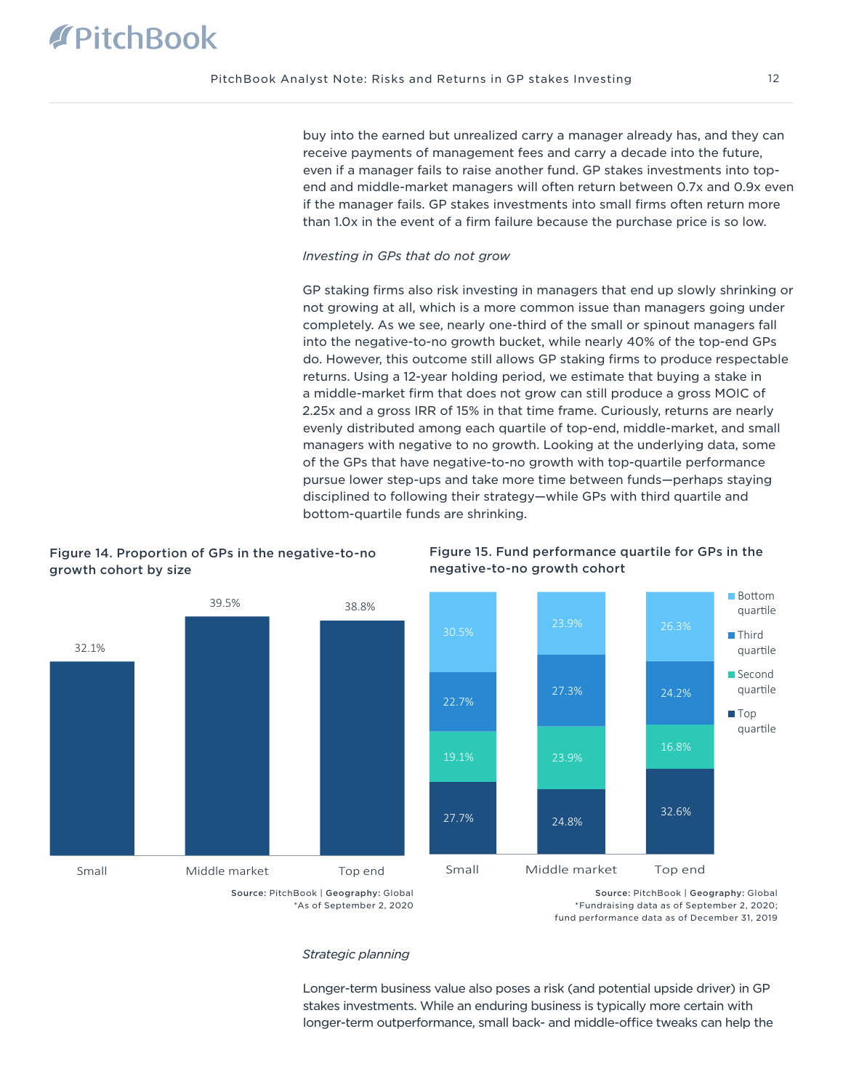buy into the earned but unrealized carry a manager already has, and they can receive payments of management fees and carry a decade into the future, even if a manager fails to raise another fund. GP stakes investments into topend and middle-market managers will often return between 0.7x and 0.9x even if the manager fails. GP stakes investments into small firms often return more than 1.0x in the event of a firm failure because the purchase price is so low.

### *Investing in GPs that do not grow*

GP staking firms also risk investing in managers that end up slowly shrinking or not growing at all, which is a more common issue than managers going under completely. As we see, nearly one-third of the small or spinout managers fall into the negative-to-no growth bucket, while nearly 40% of the top-end GPs do. However, this outcome still allows GP staking firms to produce respectable returns. Using a 12-year holding period, we estimate that buying a stake in a middle-market firm that does not grow can still produce a gross MOIC of 2.25x and a gross IRR of 15% in that time frame. Curiously, returns are nearly evenly distributed among each quartile of top-end, middle-market, and small managers with negative to no growth. Looking at the underlying data, some of the GPs that have negative-to-no growth with top-quartile performance pursue lower step-ups and take more time between funds—perhaps staying disciplined to following their strategy—while GPs with third quartile and bottom-quartile funds are shrinking.

Figure 14. Proportion of GPs in the negative-to-no growth cohort by size





Figure 15. Fund performance quartile for GPs in the negative-to-no growth cohort



Source: PitchBook | Geography: Global \*Fundraising data as of September 2, 2020; fund performance data as of December 31, 2019

### *Strategic planning*

Longer-term business value also poses a risk (and potential upside driver) in GP stakes investments. While an enduring business is typically more certain with longer-term outperformance, small back- and middle-office tweaks can help the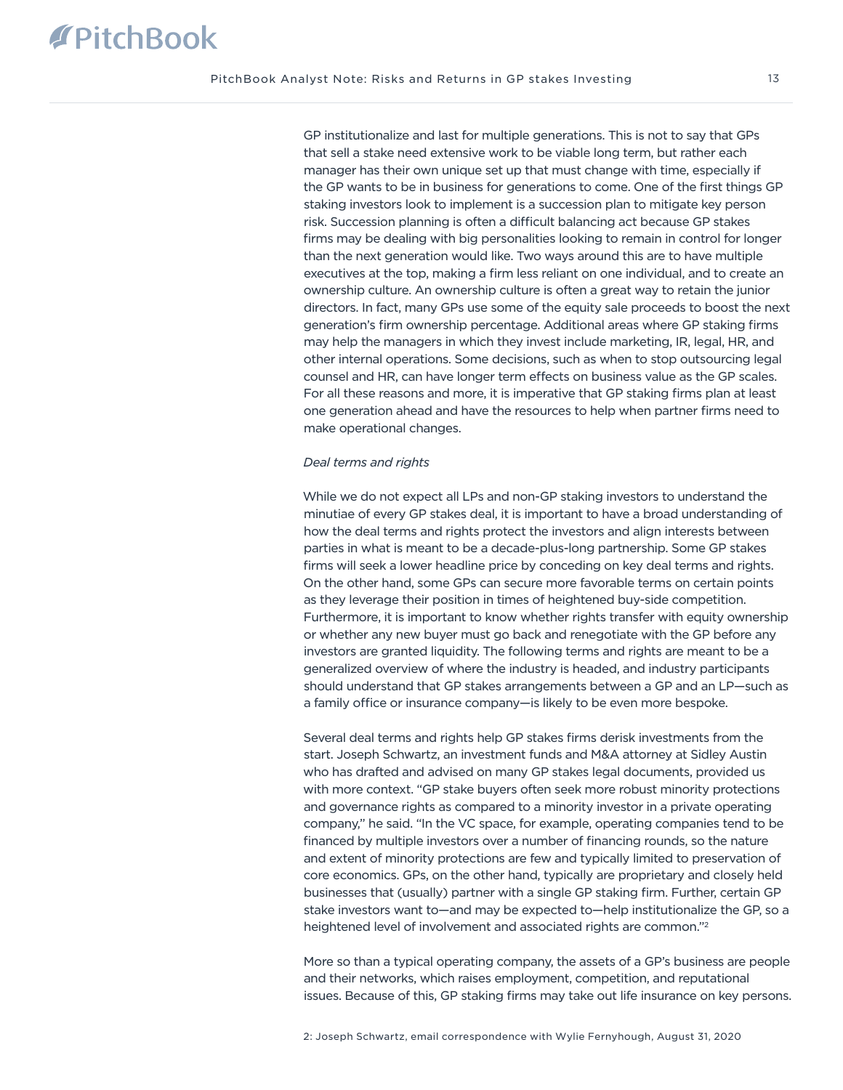GP institutionalize and last for multiple generations. This is not to say that GPs that sell a stake need extensive work to be viable long term, but rather each manager has their own unique set up that must change with time, especially if the GP wants to be in business for generations to come. One of the first things GP staking investors look to implement is a succession plan to mitigate key person risk. Succession planning is often a difficult balancing act because GP stakes firms may be dealing with big personalities looking to remain in control for longer than the next generation would like. Two ways around this are to have multiple executives at the top, making a firm less reliant on one individual, and to create an ownership culture. An ownership culture is often a great way to retain the junior directors. In fact, many GPs use some of the equity sale proceeds to boost the next generation's firm ownership percentage. Additional areas where GP staking firms may help the managers in which they invest include marketing, IR, legal, HR, and other internal operations. Some decisions, such as when to stop outsourcing legal counsel and HR, can have longer term effects on business value as the GP scales. For all these reasons and more, it is imperative that GP staking firms plan at least one generation ahead and have the resources to help when partner firms need to make operational changes.

### *Deal terms and rights*

While we do not expect all LPs and non-GP staking investors to understand the minutiae of every GP stakes deal, it is important to have a broad understanding of how the deal terms and rights protect the investors and align interests between parties in what is meant to be a decade-plus-long partnership. Some GP stakes firms will seek a lower headline price by conceding on key deal terms and rights. On the other hand, some GPs can secure more favorable terms on certain points as they leverage their position in times of heightened buy-side competition. Furthermore, it is important to know whether rights transfer with equity ownership or whether any new buyer must go back and renegotiate with the GP before any investors are granted liquidity. The following terms and rights are meant to be a generalized overview of where the industry is headed, and industry participants should understand that GP stakes arrangements between a GP and an LP—such as a family office or insurance company—is likely to be even more bespoke.

Several deal terms and rights help GP stakes firms derisk investments from the start. Joseph Schwartz, an investment funds and M&A attorney at Sidley Austin who has drafted and advised on many GP stakes legal documents, provided us with more context. "GP stake buyers often seek more robust minority protections and governance rights as compared to a minority investor in a private operating company," he said. "In the VC space, for example, operating companies tend to be financed by multiple investors over a number of financing rounds, so the nature and extent of minority protections are few and typically limited to preservation of core economics. GPs, on the other hand, typically are proprietary and closely held businesses that (usually) partner with a single GP staking firm. Further, certain GP stake investors want to—and may be expected to—help institutionalize the GP, so a heightened level of involvement and associated rights are common."2

More so than a typical operating company, the assets of a GP's business are people and their networks, which raises employment, competition, and reputational issues. Because of this, GP staking firms may take out life insurance on key persons.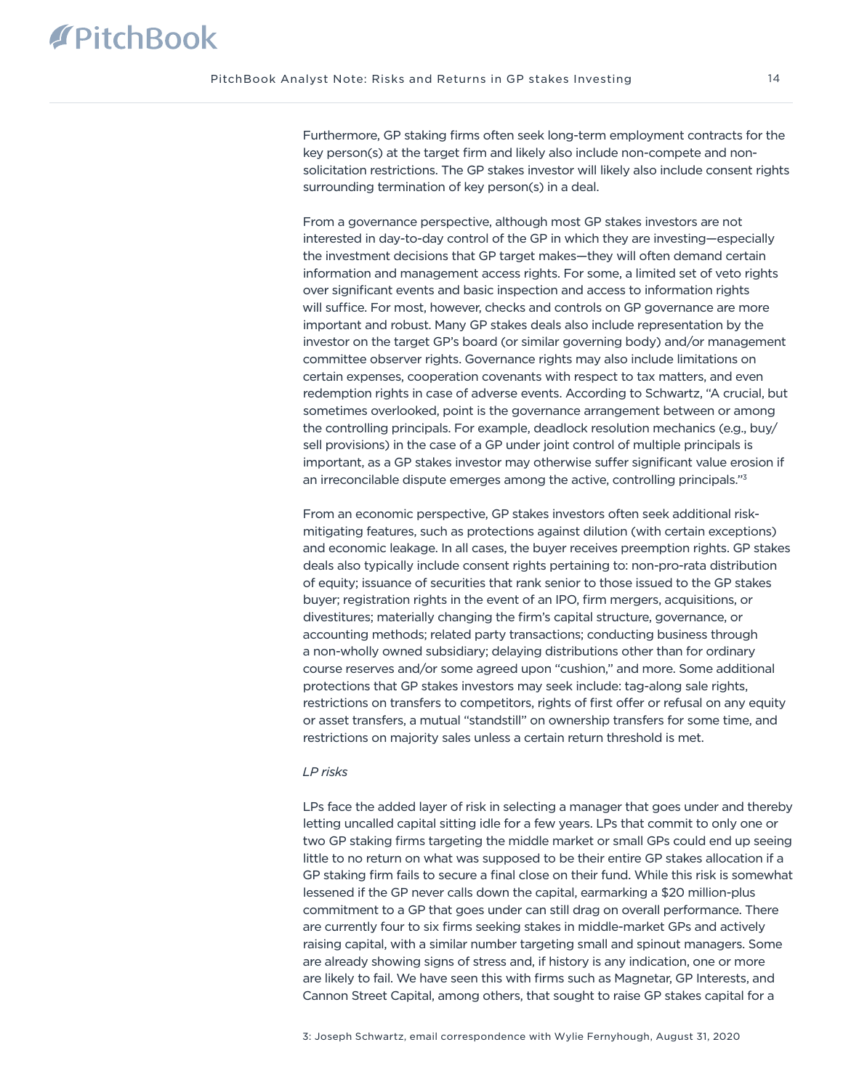Furthermore, GP staking firms often seek long-term employment contracts for the key person(s) at the target firm and likely also include non-compete and nonsolicitation restrictions. The GP stakes investor will likely also include consent rights surrounding termination of key person(s) in a deal.

From a governance perspective, although most GP stakes investors are not interested in day-to-day control of the GP in which they are investing—especially the investment decisions that GP target makes—they will often demand certain information and management access rights. For some, a limited set of veto rights over significant events and basic inspection and access to information rights will suffice. For most, however, checks and controls on GP governance are more important and robust. Many GP stakes deals also include representation by the investor on the target GP's board (or similar governing body) and/or management committee observer rights. Governance rights may also include limitations on certain expenses, cooperation covenants with respect to tax matters, and even redemption rights in case of adverse events. According to Schwartz, "A crucial, but sometimes overlooked, point is the governance arrangement between or among the controlling principals. For example, deadlock resolution mechanics (e.g., buy/ sell provisions) in the case of a GP under joint control of multiple principals is important, as a GP stakes investor may otherwise suffer significant value erosion if an irreconcilable dispute emerges among the active, controlling principals."<sup>3</sup>

From an economic perspective, GP stakes investors often seek additional riskmitigating features, such as protections against dilution (with certain exceptions) and economic leakage. In all cases, the buyer receives preemption rights. GP stakes deals also typically include consent rights pertaining to: non-pro-rata distribution of equity; issuance of securities that rank senior to those issued to the GP stakes buyer; registration rights in the event of an IPO, firm mergers, acquisitions, or divestitures; materially changing the firm's capital structure, governance, or accounting methods; related party transactions; conducting business through a non-wholly owned subsidiary; delaying distributions other than for ordinary course reserves and/or some agreed upon "cushion," and more. Some additional protections that GP stakes investors may seek include: tag-along sale rights, restrictions on transfers to competitors, rights of first offer or refusal on any equity or asset transfers, a mutual "standstill" on ownership transfers for some time, and restrictions on majority sales unless a certain return threshold is met.

# *LP risks*

LPs face the added layer of risk in selecting a manager that goes under and thereby letting uncalled capital sitting idle for a few years. LPs that commit to only one or two GP staking firms targeting the middle market or small GPs could end up seeing little to no return on what was supposed to be their entire GP stakes allocation if a GP staking firm fails to secure a final close on their fund. While this risk is somewhat lessened if the GP never calls down the capital, earmarking a \$20 million-plus commitment to a GP that goes under can still drag on overall performance. There are currently four to six firms seeking stakes in middle-market GPs and actively raising capital, with a similar number targeting small and spinout managers. Some are already showing signs of stress and, if history is any indication, one or more are likely to fail. We have seen this with firms such as Magnetar, GP Interests, and Cannon Street Capital, among others, that sought to raise GP stakes capital for a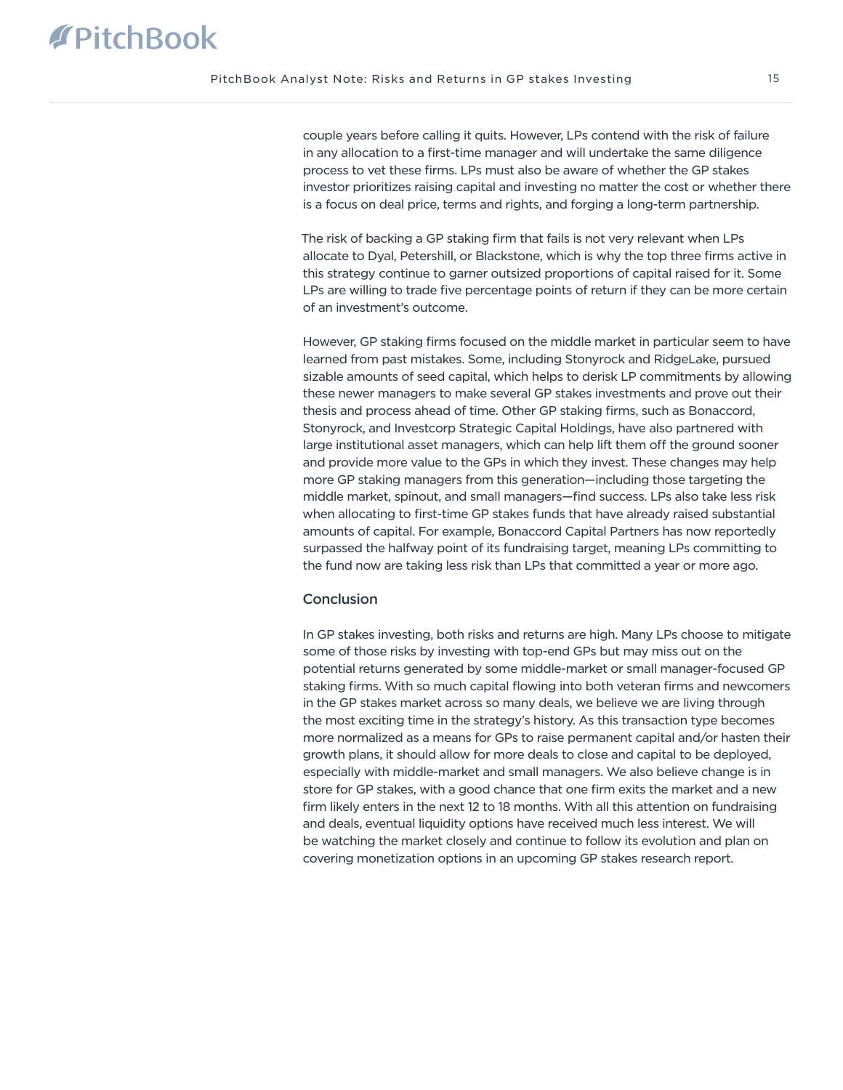couple years before calling it quits. However, LPs contend with the risk of failure in any allocation to a first-time manager and will undertake the same diligence process to vet these firms. LPs must also be aware of whether the GP stakes investor prioritizes raising capital and investing no matter the cost or whether there is a focus on deal price, terms and rights, and forging a long-term partnership.

The risk of backing a GP staking firm that fails is not very relevant when LPs allocate to Dyal, Petershill, or Blackstone, which is why the top three firms active in this strategy continue to garner outsized proportions of capital raised for it. Some LPs are willing to trade five percentage points of return if they can be more certain of an investment's outcome.

However, GP staking firms focused on the middle market in particular seem to have learned from past mistakes. Some, including Stonyrock and RidgeLake, pursued sizable amounts of seed capital, which helps to derisk LP commitments by allowing these newer managers to make several GP stakes investments and prove out their thesis and process ahead of time. Other GP staking firms, such as Bonaccord, Stonyrock, and Investcorp Strategic Capital Holdings, have also partnered with large institutional asset managers, which can help lift them off the ground sooner and provide more value to the GPs in which they invest. These changes may help more GP staking managers from this generation—including those targeting the middle market, spinout, and small managers—find success. LPs also take less risk when allocating to first-time GP stakes funds that have already raised substantial amounts of capital. For example, Bonaccord Capital Partners has now reportedly surpassed the halfway point of its fundraising target, meaning LPs committing to the fund now are taking less risk than LPs that committed a year or more ago.

# Conclusion

In GP stakes investing, both risks and returns are high. Many LPs choose to mitigate some of those risks by investing with top-end GPs but may miss out on the potential returns generated by some middle-market or small manager-focused GP staking firms. With so much capital flowing into both veteran firms and newcomers in the GP stakes market across so many deals, we believe we are living through the most exciting time in the strategy's history. As this transaction type becomes more normalized as a means for GPs to raise permanent capital and/or hasten their growth plans, it should allow for more deals to close and capital to be deployed, especially with middle-market and small managers. We also believe change is in store for GP stakes, with a good chance that one firm exits the market and a new firm likely enters in the next 12 to 18 months. With all this attention on fundraising and deals, eventual liquidity options have received much less interest. We will be watching the market closely and continue to follow its evolution and plan on covering monetization options in an upcoming GP stakes research report.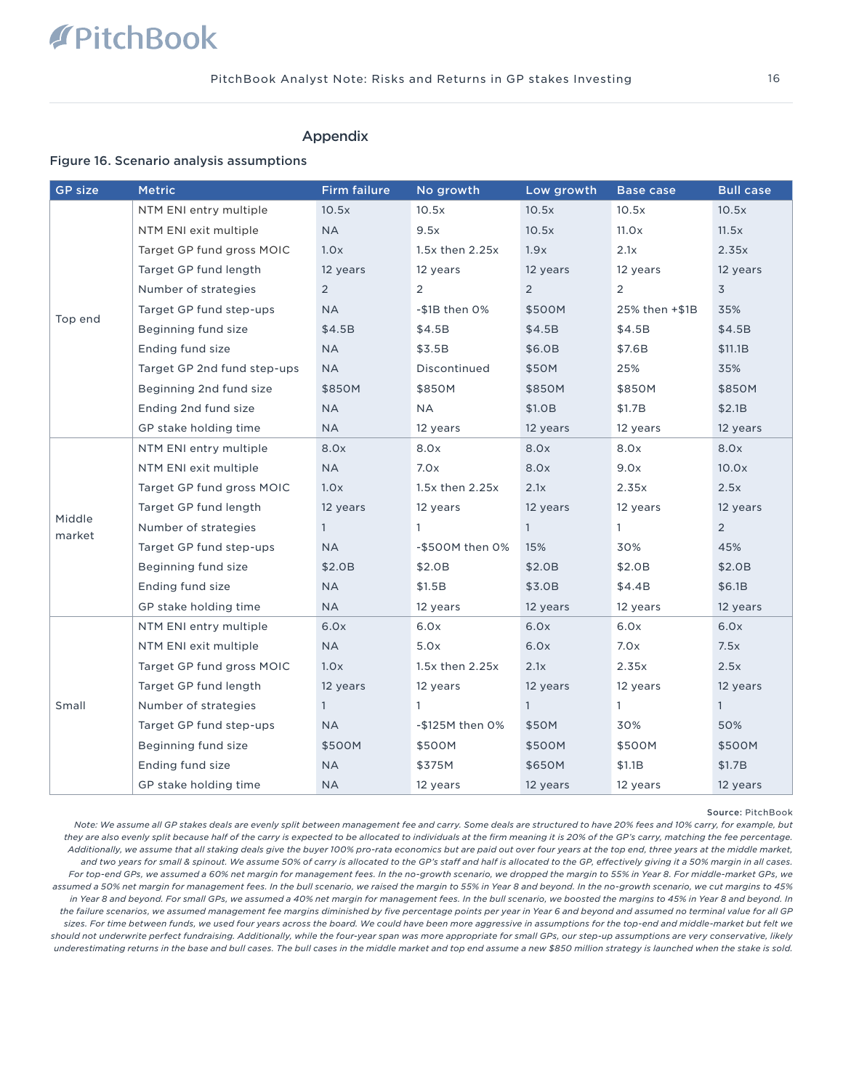# Appendix

### Figure 16. Scenario analysis assumptions

| <b>GP size</b>   | <b>Metric</b>               | <b>Firm failure</b> | No growth           | Low growth     | <b>Base case</b> | <b>Bull case</b> |
|------------------|-----------------------------|---------------------|---------------------|----------------|------------------|------------------|
|                  | NTM ENI entry multiple      | 10.5x               | 10.5x               | 10.5x          | 10.5x            | 10.5x            |
|                  | NTM ENI exit multiple       | <b>NA</b>           | 9.5x                | 10.5x          | 11.0x            | 11.5x            |
|                  | Target GP fund gross MOIC   | 1.0x                | $1.5x$ then $2.25x$ | 1.9x           | 2.1x             | 2.35x            |
|                  | Target GP fund length       | 12 years            | 12 years            | 12 years       | 12 years         | 12 years         |
|                  | Number of strategies        | $\overline{2}$      | $\overline{2}$      | $\overline{2}$ | 2                | $\overline{3}$   |
|                  | Target GP fund step-ups     | <b>NA</b>           | $-$1B$ then $0\%$   | \$500M         | 25% then +\$1B   | 35%              |
| Top end          | Beginning fund size         | \$4.5B              | \$4.5B              | \$4.5B         | \$4.5B           | \$4.5B           |
|                  | Ending fund size            | <b>NA</b>           | \$3.5B              | \$6.0B         | \$7.6B           | \$11.1B          |
|                  | Target GP 2nd fund step-ups | <b>NA</b>           | Discontinued        | \$50M          | 25%              | 35%              |
|                  | Beginning 2nd fund size     | \$850M              | \$850M              | \$850M         | \$850M           | \$850M           |
|                  | Ending 2nd fund size        | <b>NA</b>           | <b>NA</b>           | \$1.0B         | \$1.7B           | \$2.1B           |
|                  | GP stake holding time       | <b>NA</b>           | 12 years            | 12 years       | 12 years         | 12 years         |
|                  | NTM ENI entry multiple      | 8.0x                | 8.0x                | 8.0x           | 8.0x             | 8.0x             |
|                  | NTM ENI exit multiple       | <b>NA</b>           | 7.0x                | 8.0x           | 9.0x             | 10.0x            |
|                  | Target GP fund gross MOIC   | 1.0x                | 1.5x then 2.25x     | 2.1x           | 2.35x            | 2.5x             |
|                  | Target GP fund length       | 12 years            | 12 years            | 12 years       | 12 years         | 12 years         |
| Middle<br>market | Number of strategies        | $\mathbf{1}$        | $\mathbf{1}$        | $\mathbf{1}$   | $\mathbf{1}$     | $\overline{2}$   |
|                  | Target GP fund step-ups     | <b>NA</b>           | -\$500M then 0%     | 15%            | 30%              | 45%              |
|                  | Beginning fund size         | \$2.0B              | \$2.0B              | \$2.0B         | \$2.0B           | \$2.0B           |
|                  | Ending fund size            | <b>NA</b>           | \$1.5B              | \$3.0B         | \$4.4B           | \$6.1B           |
|                  | GP stake holding time       | <b>NA</b>           | 12 years            | 12 years       | 12 years         | 12 years         |
|                  | NTM ENI entry multiple      | 6.0x                | 6.0x                | 6.0x           | 6.0x             | 6.0x             |
|                  | NTM ENI exit multiple       | <b>NA</b>           | 5.0x                | 6.0x           | 7.0x             | 7.5x             |
| Small            | Target GP fund gross MOIC   | 1.0x                | $1.5x$ then $2.25x$ | 2.1x           | 2.35x            | 2.5x             |
|                  | Target GP fund length       | 12 years            | 12 years            | 12 years       | 12 years         | 12 years         |
|                  | Number of strategies        | $\mathbf{1}$        | $\mathbf{1}$        | $\mathbf{1}$   | $\mathbf{1}$     | $\mathbf{1}$     |
|                  | Target GP fund step-ups     | ΝA                  | -\$125M then 0%     | \$50M          | 30%              | 50%              |
|                  | Beginning fund size         | \$500M              | \$500M              | \$500M         | \$500M           | \$500M           |
|                  | Ending fund size            | <b>NA</b>           | \$375M              | \$650M         | \$1.1B           | \$1.7B           |
|                  | GP stake holding time       | <b>NA</b>           | 12 years            | 12 years       | 12 years         | 12 years         |

#### Source: PitchBook

*Note: We assume all GP stakes deals are evenly split between management fee and carry. Some deals are structured to have 20% fees and 10% carry, for example, but they are also evenly split because half of the carry is expected to be allocated to individuals at the firm meaning it is 20% of the GP's carry, matching the fee percentage. Additionally, we assume that all staking deals give the buyer 100% pro-rata economics but are paid out over four years at the top end, three years at the middle market, and two years for small & spinout. We assume 50% of carry is allocated to the GP's staff and half is allocated to the GP, effectively giving it a 50% margin in all cases.*  For top-end GPs, we assumed a 60% net margin for management fees. In the no-growth scenario, we dropped the margin to 55% in Year 8. For middle-market GPs, we *assumed a 50% net margin for management fees. In the bull scenario, we raised the margin to 55% in Year 8 and beyond. In the no-growth scenario, we cut margins to 45% in Year 8 and beyond. For small GPs, we assumed a 40% net margin for management fees. In the bull scenario, we boosted the margins to 45% in Year 8 and beyond. In the failure scenarios, we assumed management fee margins diminished by five percentage points per year in Year 6 and beyond and assumed no terminal value for all GP sizes. For time between funds, we used four years across the board. We could have been more aggressive in assumptions for the top-end and middle-market but felt we should not underwrite perfect fundraising. Additionally, while the four-year span was more appropriate for small GPs, our step-up assumptions are very conservative, likely underestimating returns in the base and bull cases. The bull cases in the middle market and top end assume a new \$850 million strategy is launched when the stake is sold.*